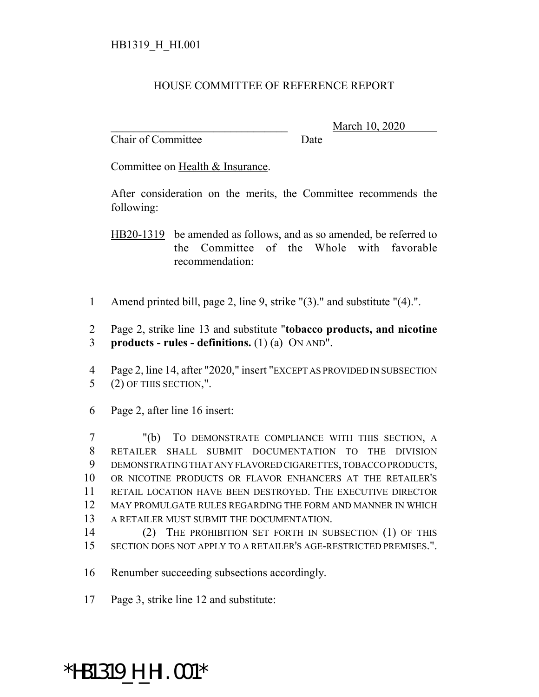## HOUSE COMMITTEE OF REFERENCE REPORT

Chair of Committee Date

\_\_\_\_\_\_\_\_\_\_\_\_\_\_\_\_\_\_\_\_\_\_\_\_\_\_\_\_\_\_\_ March 10, 2020

Committee on Health & Insurance.

After consideration on the merits, the Committee recommends the following:

HB20-1319 be amended as follows, and as so amended, be referred to the Committee of the Whole with favorable recommendation:

Amend printed bill, page 2, line 9, strike "(3)." and substitute "(4).".

 Page 2, strike line 13 and substitute "**tobacco products, and nicotine products - rules - definitions.** (1) (a) ON AND".

 Page 2, line 14, after "2020," insert "EXCEPT AS PROVIDED IN SUBSECTION (2) OF THIS SECTION,".

Page 2, after line 16 insert:

 "(b) TO DEMONSTRATE COMPLIANCE WITH THIS SECTION, A RETAILER SHALL SUBMIT DOCUMENTATION TO THE DIVISION DEMONSTRATING THAT ANY FLAVORED CIGARETTES, TOBACCO PRODUCTS, OR NICOTINE PRODUCTS OR FLAVOR ENHANCERS AT THE RETAILER'S RETAIL LOCATION HAVE BEEN DESTROYED. THE EXECUTIVE DIRECTOR MAY PROMULGATE RULES REGARDING THE FORM AND MANNER IN WHICH A RETAILER MUST SUBMIT THE DOCUMENTATION.

- (2) THE PROHIBITION SET FORTH IN SUBSECTION (1) OF THIS SECTION DOES NOT APPLY TO A RETAILER'S AGE-RESTRICTED PREMISES.".
- Renumber succeeding subsections accordingly.
- Page 3, strike line 12 and substitute:

## \*HB1319\_H\_HI.001\*